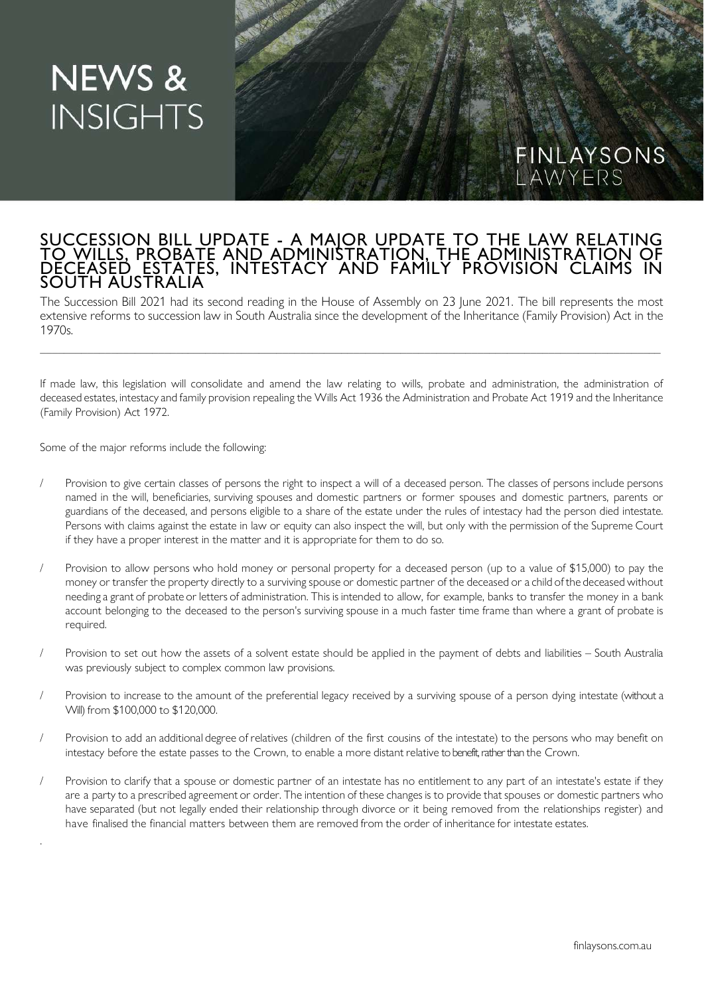## **NEWS & INSIGHTS**

## SUCCESSION BILL UPDATE - A MAJOR UPDATE TO THE LAW RELATING TO WILLS, PROBATE AND ADMINISTRATION, THE ADMINISTRATION OF DECEASED ESTATES, INTESTACY AND FAMILY PROVISION CLAIMS IN SOUTH AUSTRALIA

The Succession Bill 2021 had its second reading in the House of Assembly on 23 June 2021. The bill represents the most extensive reforms to succession law in South Australia since the development of the Inheritance (Family Provision) Act in the 1970s.

\_\_\_\_\_\_\_\_\_\_\_\_\_\_\_\_\_\_\_\_\_\_\_\_\_\_\_\_\_\_\_\_\_\_\_\_\_\_\_\_\_\_\_\_\_\_\_\_\_\_\_\_\_\_\_\_\_\_\_\_\_\_\_\_\_\_\_\_\_\_\_\_\_\_\_\_\_\_\_\_\_\_\_\_\_\_\_\_\_\_\_\_\_\_\_\_\_\_\_\_\_\_\_\_\_

If made law, this legislation will consolidate and amend the law relating to wills, probate and administration, the administration of deceased estates, intestacy and family provision repealing the Wills Act 1936 the Administration and Probate Act 1919 and the Inheritance (Family Provision) Act 1972.

Some of the major reforms include the following:

.

- Provision to give certain classes of persons the right to inspect a will of a deceased person. The classes of persons include persons named in the will, beneficiaries, surviving spouses and domestic partners or former spouses and domestic partners, parents or guardians of the deceased, and persons eligible to a share of the estate under the rules of intestacy had the person died intestate. Persons with claims against the estate in law or equity can also inspect the will, but only with the permission of the Supreme Court if they have a proper interest in the matter and it is appropriate for them to do so.
- Provision to allow persons who hold money or personal property for a deceased person (up to a value of \$15,000) to pay the money or transfer the property directly to a surviving spouse or domestic partner of the deceased or a child of the deceased without needing a grant of probate or letters of administration. This is intended to allow, for example, banks to transfer the money in a bank account belonging to the deceased to the person's surviving spouse in a much faster time frame than where a grant of probate is required.
- Provision to set out how the assets of a solvent estate should be applied in the payment of debts and liabilities South Australia was previously subject to complex common law provisions.
- Provision to increase to the amount of the preferential legacy received by a surviving spouse of a person dying intestate (without a Will) from \$100,000 to \$120,000.
- Provision to add an additional degree of relatives (children of the first cousins of the intestate) to the persons who may benefit on intestacy before the estate passes to the Crown, to enable a more distant relative to benefit, rather than the Crown.
- Provision to clarify that a spouse or domestic partner of an intestate has no entitlement to any part of an intestate's estate if they are a party to a prescribed agreement or order. The intention of these changes is to provide that spouses or domestic partners who have separated (but not legally ended their relationship through divorce or it being removed from the relationships register) and have finalised the financial matters between them are removed from the order of inheritance for intestate estates.

FINLAYSONS<br>LAWYERS